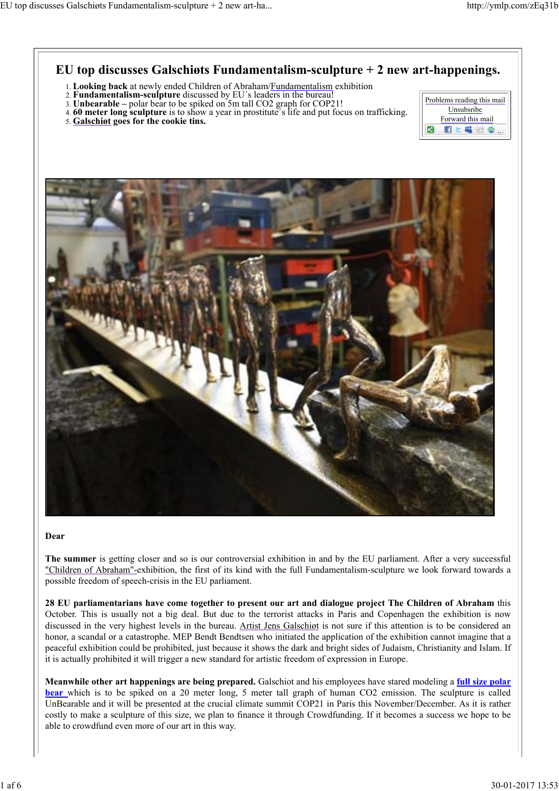## **EU top discusses Galschiøts Fundamentalism-sculpture + 2 new art-happenings.**

- 1. **Looking back** at newly ended Children of Abraham/Fundamentalism exhibition
- 2. **Fundamentalism-sculpture** discussed by EU´s leaders in the bureau!
- 3. **Unbearable –** polar bear to be spiked on 5m tall CO2 graph for COP21!
- 4. **60 meter long sculpture** is to show a year in prostitute´s life and put focus on trafficking.
- 5. **Galschiøt goes for the cookie tins.**





#### **Dear**

**The summer** is getting closer and so is our controversial exhibition in and by the EU parliament. After a very successful "Children of Abraham"-exhibition, the first of its kind with the full Fundamentalism-sculpture we look forward towards a possible freedom of speech-crisis in the EU parliament.

**28 EU parliamentarians have come together to present our art and dialogue project The Children of Abraham** this October. This is usually not a big deal. But due to the terrorist attacks in Paris and Copenhagen the exhibition is now discussed in the very highest levels in the bureau. Artist Jens Galschiøt is not sure if this attention is to be considered an honor, a scandal or a catastrophe. MEP Bendt Bendtsen who initiated the application of the exhibition cannot imagine that a peaceful exhibition could be prohibited, just because it shows the dark and bright sides of Judaism, Christianity and Islam. If it is actually prohibited it will trigger a new standard for artistic freedom of expression in Europe.

**Meanwhile other art happenings are being prepared.** Galschiot and his employees have stared modeling a **full size polar bear** which is to be spiked on a 20 meter long, 5 meter tall graph of human CO2 emission. The sculpture is called UnBearable and it will be presented at the crucial climate summit COP21 in Paris this November/December. As it is rather costly to make a sculpture of this size, we plan to finance it through Crowdfunding. If it becomes a success we hope to be able to crowdfund even more of our art in this way.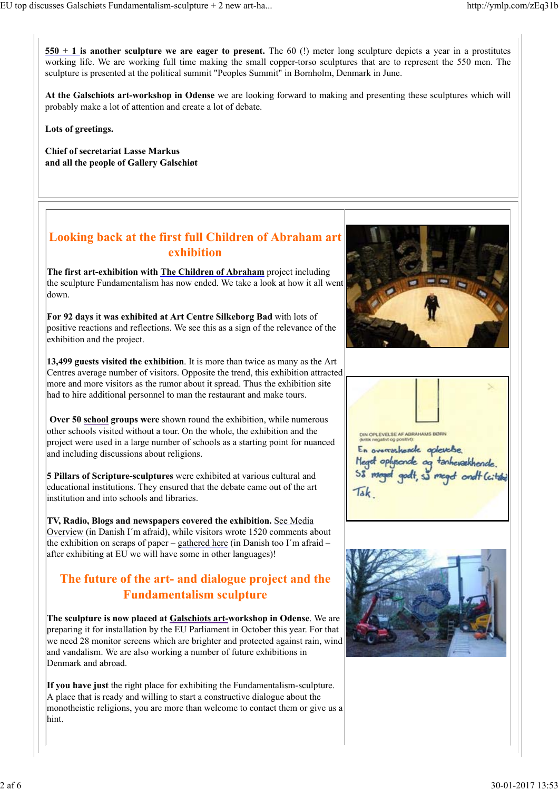**550 + 1 is another sculpture we are eager to present.** The 60 (!) meter long sculpture depicts a year in a prostitutes working life. We are working full time making the small copper-torso sculptures that are to represent the 550 men. The sculpture is presented at the political summit "Peoples Summit" in Bornholm, Denmark in June.

**At the Galschiots art-workshop in Odense** we are looking forward to making and presenting these sculptures which will probably make a lot of attention and create a lot of debate.

**Lots of greetings.**

**Chief of secretariat Lasse Markus and all the people of Gallery Galschiøt**

## **Looking back at the first full Children of Abraham art exhibition**

**The first art-exhibition with The Children of Abraham** project including the sculpture Fundamentalism has now ended. We take a look at how it all went down.

**For 92 days** i**t was exhibited at Art Centre Silkeborg Bad** with lots of positive reactions and reflections. We see this as a sign of the relevance of the exhibition and the project.

**13,499 guests visited the exhibition**. It is more than twice as many as the Art Centres average number of visitors. Opposite the trend, this exhibition attracted more and more visitors as the rumor about it spread. Thus the exhibition site had to hire additional personnel to man the restaurant and make tours.

**Over 50 school groups were** shown round the exhibition, while numerous other schools visited without a tour. On the whole, the exhibition and the project were used in a large number of schools as a starting point for nuanced and including discussions about religions.

**5 Pillars of Scripture-sculptures** were exhibited at various cultural and educational institutions. They ensured that the debate came out of the art institution and into schools and libraries.

**TV, Radio, Blogs and newspapers covered the exhibition.** See Media Overview (in Danish I´m afraid), while visitors wrote 1520 comments about the exhibition on scraps of paper – gathered here (in Danish too I'm afraid – after exhibiting at EU we will have some in other languages)!

## **The future of the art- and dialogue project and the Fundamentalism sculpture**

**The sculpture is now placed at Galschiots art-workshop in Odense**. We are preparing it for installation by the EU Parliament in October this year. For that we need 28 monitor screens which are brighter and protected against rain, wind and vandalism. We are also working a number of future exhibitions in Denmark and abroad.

**If you have just** the right place for exhibiting the Fundamentalism-sculpture. A place that is ready and willing to start a constructive dialogue about the monotheistic religions, you are more than welcome to contact them or give us a hint.





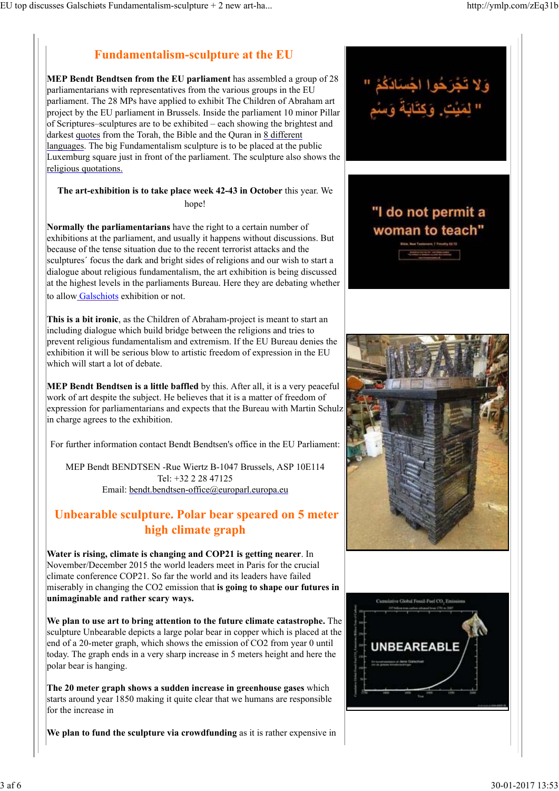# **Fundamentalism-sculpture at the EU**

**MEP Bendt Bendtsen from the EU parliament** has assembled a group of 28 parliamentarians with representatives from the various groups in the EU parliament. The 28 MPs have applied to exhibit The Children of Abraham art project by the EU parliament in Brussels. Inside the parliament 10 minor Pillar of Scriptures–sculptures are to be exhibited – each showing the brightest and darkest quotes from the Torah, the Bible and the Quran in 8 different languages. The big Fundamentalism sculpture is to be placed at the public Luxemburg square just in front of the parliament. The sculpture also shows the religious quotations.

#### **The art-exhibition is to take place week 42-43 in October** this year. We hope!

**Normally the parliamentarians** have the right to a certain number of exhibitions at the parliament, and usually it happens without discussions. But because of the tense situation due to the recent terrorist attacks and the sculptures´ focus the dark and bright sides of religions and our wish to start a dialogue about religious fundamentalism, the art exhibition is being discussed at the highest levels in the parliaments Bureau. Here they are debating whether to allow Galschiots exhibition or not.

**This is a bit ironic**, as the Children of Abraham-project is meant to start an including dialogue which build bridge between the religions and tries to prevent religious fundamentalism and extremism. If the EU Bureau denies the exhibition it will be serious blow to artistic freedom of expression in the EU which will start a lot of debate.

**MEP Bendt Bendtsen is a little baffled** by this. After all, it is a very peaceful work of art despite the subject. He believes that it is a matter of freedom of expression for parliamentarians and expects that the Bureau with Martin Schulz in charge agrees to the exhibition.

For further information contact Bendt Bendtsen's office in the EU Parliament:

MEP Bendt BENDTSEN -Rue Wiertz B-1047 Brussels, ASP 10E114 Tel: +32 2 28 47125 Email: bendt.bendtsen-office@europarl.europa.eu

# **Unbearable sculpture. Polar bear speared on 5 meter high climate graph**

**Water is rising, climate is changing and COP21 is getting nearer**. In November/December 2015 the world leaders meet in Paris for the crucial climate conference COP21. So far the world and its leaders have failed miserably in changing the CO2 emission that **is going to shape our futures in unimaginable and rather scary ways.**

**We plan to use art to bring attention to the future climate catastrophe.** The sculpture Unbearable depicts a large polar bear in copper which is placed at the end of a 20-meter graph, which shows the emission of CO2 from year 0 until today. The graph ends in a very sharp increase in 5 meters height and here the polar bear is hanging.

**The 20 meter graph shows a sudden increase in greenhouse gases** which starts around year 1850 making it quite clear that we humans are responsible for the increase in

**We plan to fund the sculpture via crowdfunding** as it is rather expensive in



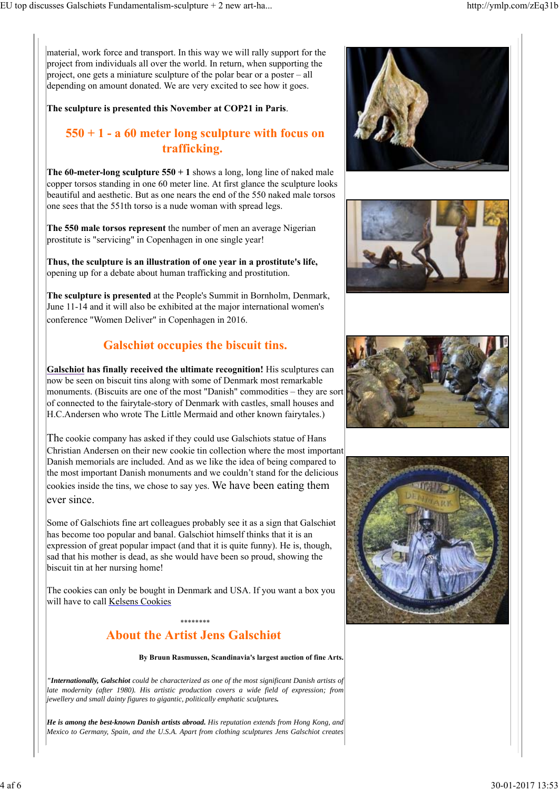material, work force and transport. In this way we will rally support for the project from individuals all over the world. In return, when supporting the project, one gets a miniature sculpture of the polar bear or a poster – all depending on amount donated. We are very excited to see how it goes.

#### **The sculpture is presented this November at COP21 in Paris**.

## **550 + 1 - a 60 meter long sculpture with focus on trafficking.**

**The 60-meter-long sculpture**  $550 + 1$  shows a long, long line of naked male copper torsos standing in one 60 meter line. At first glance the sculpture looks beautiful and aesthetic. But as one nears the end of the 550 naked male torsos one sees that the 551th torso is a nude woman with spread legs.

**The 550 male torsos represent** the number of men an average Nigerian prostitute is "servicing" in Copenhagen in one single year!

**Thus, the sculpture is an illustration of one year in a prostitute's life,** opening up for a debate about human trafficking and prostitution.

**The sculpture is presented** at the People's Summit in Bornholm, Denmark, June 11-14 and it will also be exhibited at the major international women's conference "Women Deliver" in Copenhagen in 2016.

## **Galschiøt occupies the biscuit tins.**

**Galschiot has finally received the ultimate recognition!** His sculptures can now be seen on biscuit tins along with some of Denmark most remarkable monuments. (Biscuits are one of the most "Danish" commodities – they are sor of connected to the fairytale-story of Denmark with castles, small houses and H.C.Andersen who wrote The Little Mermaid and other known fairytales.)

The cookie company has asked if they could use Galschiots statue of Hans Christian Andersen on their new cookie tin collection where the most important Danish memorials are included. And as we like the idea of being compared to the most important Danish monuments and we couldn't stand for the delicious cookies inside the tins, we chose to say yes. We have been eating them ever since.

Some of Galschiots fine art colleagues probably see it as a sign that Galschiøt has become too popular and banal. Galschiot himself thinks that it is an expression of great popular impact (and that it is quite funny). He is, though, sad that his mother is dead, as she would have been so proud, showing the biscuit tin at her nursing home!

The cookies can only be bought in Denmark and USA. If you want a box you will have to call Kelsens Cookies

#### \*\*\*\*\*\*\*\*\*\*\*\*\*\*\* **About the Artist Jens Galschiøt**

**By Bruun Rasmussen, Scandinavia's largest auction of fine Arts.**

*"Internationally, Galschiot could be characterized as one of the most significant Danish artists of late modernity (after 1980). His artistic production covers a wide field of expression; from jewellery and small dainty figures to gigantic, politically emphatic sculptures.*

*He is among the best-known Danish artists abroad. His reputation extends from Hong Kong, and Mexico to Germany, Spain, and the U.S.A. Apart from clothing sculptures Jens Galschiot creates*



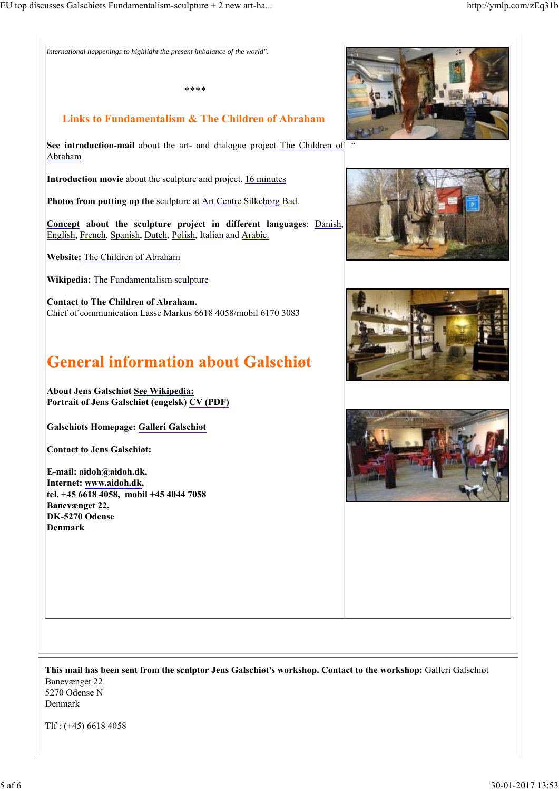*international happenings to highlight the present imbalance of the world"*.

## **Links to Fundamentalism & The Children of Abraham**

\*\*\*\*

**See introduction-mail** about the art- and dialogue project The Children of Abraham

**Introduction movie** about the sculpture and project. 16 minutes

**Photos from putting up the** sculpture at Art Centre Silkeborg Bad.

**Concept about the sculpture project in different languages**: Danish, English, French, Spanish, Dutch, Polish, Italian and Arabic.

**Website:** The Children of Abraham

**Wikipedia:** The Fundamentalism sculpture

**Contact to The Children of Abraham.** Chief of communication Lasse Markus 6618 4058/mobil 6170 3083

# **General information about Galschigt**

**About Jens Galschiøt See Wikipedia: Portrait of Jens Galschiøt (engelsk) CV (PDF)** 

**Galschiots Homepage: Galleri Galschiøt**

**Contact to Jens Galschiøt:**

**E-mail: aidoh@aidoh.dk, Internet: www.aidoh.dk, tel. +45 6618 4058, mobil +45 4044 7058 Banevænget 22, DK-5270 Odense Denmark**



¨







**This mail has been sent from the sculptor Jens Galschiøt's workshop. Contact to the workshop:** Galleri Galschiøt Banevænget 22 5270 Odense N

Denmark

Tlf : (+45) 6618 4058